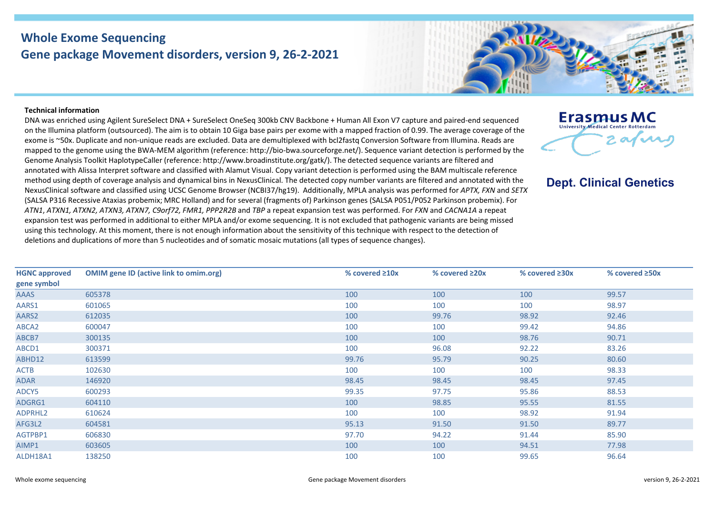## **Whole Exome Sequencing Gene package Movement disorders, version 9, 26-2-2021**



## **Technical information**

DNA was enriched using Agilent SureSelect DNA + SureSelect OneSeq 300kb CNV Backbone + Human All Exon V7 capture and paired-end sequenced on the Illumina platform (outsourced). The aim is to obtain 10 Giga base pairs per exome with a mapped fraction of 0.99. The average coverage of the exome is ~50x. Duplicate and non-unique reads are excluded. Data are demultiplexed with bcl2fastq Conversion Software from Illumina. Reads are mapped to the genome using the BWA-MEM algorithm (reference: http://bio-bwa.sourceforge.net/). Sequence variant detection is performed by the Genome Analysis Toolkit HaplotypeCaller (reference: http://www.broadinstitute.org/gatk/). The detected sequence variants are filtered and annotated with Alissa Interpret software and classified with Alamut Visual. Copy variant detection is performed using the BAM multiscale reference method using depth of coverage analysis and dynamical bins in NexusClinical. The detected copy number variants are filtered and annotated with the NexusClinical software and classified using UCSC Genome Browser (NCBI37/hg19). Additionally, MPLA analysis was performed for *APTX, FXN* and *SETX* (SALSA P316 Recessive Ataxias probemix; MRC Holland) and for several (fragments of) Parkinson genes (SALSA P051/P052 Parkinson probemix). For *ATN1*, *ATXN1, ATXN2, ATXN3, ATXN7, C9orf72, FMR1, PPP2R2B* and *TBP* a repeat expansion test was performed. For *FXN* and *CACNA1A* a repeat expansion test was performed in additional to either MPLA and/or exome sequencing. It is not excluded that pathogenic variants are being missed using this technology. At this moment, there is not enough information about the sensitivity of this technique with respect to the detection of deletions and duplications of more than 5 nucleotides and of somatic mosaic mutations (all types of sequence changes).



**Dept. Clinical Genetics** 

| <b>HGNC approved</b> | <b>OMIM gene ID (active link to omim.org)</b> | % covered $\geq 10x$ | % covered $\geq 20x$ | % covered $\geq 30x$ | % covered $\geq$ 50x |
|----------------------|-----------------------------------------------|----------------------|----------------------|----------------------|----------------------|
| gene symbol          |                                               |                      |                      |                      |                      |
| AAAS                 | 605378                                        | 100                  | 100                  | 100                  | 99.57                |
| AARS1                | 601065                                        | 100                  | 100                  | 100                  | 98.97                |
| AARS2                | 612035                                        | 100                  | 99.76                | 98.92                | 92.46                |
| ABCA2                | 600047                                        | 100                  | 100                  | 99.42                | 94.86                |
| ABCB7                | 300135                                        | 100                  | 100                  | 98.76                | 90.71                |
| ABCD1                | 300371                                        | 100                  | 96.08                | 92.22                | 83.26                |
| ABHD12               | 613599                                        | 99.76                | 95.79                | 90.25                | 80.60                |
| <b>ACTB</b>          | 102630                                        | 100                  | 100                  | 100                  | 98.33                |
| <b>ADAR</b>          | 146920                                        | 98.45                | 98.45                | 98.45                | 97.45                |
| ADCY5                | 600293                                        | 99.35                | 97.75                | 95.86                | 88.53                |
| ADGRG1               | 604110                                        | 100                  | 98.85                | 95.55                | 81.55                |
| ADPRHL2              | 610624                                        | 100                  | 100                  | 98.92                | 91.94                |
| AFG3L2               | 604581                                        | 95.13                | 91.50                | 91.50                | 89.77                |
| AGTPBP1              | 606830                                        | 97.70                | 94.22                | 91.44                | 85.90                |
| AIMP1                | 603605                                        | 100                  | 100                  | 94.51                | 77.98                |
| ALDH18A1             | 138250                                        | 100                  | 100                  | 99.65                | 96.64                |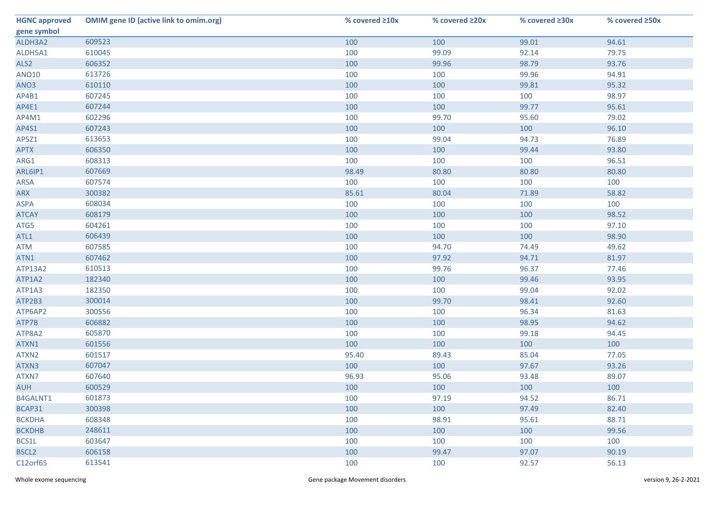| <b>HGNC approved</b> | <b>OMIM gene ID (active link to omim.org)</b> | % covered ≥10x | % covered ≥20x | % covered ≥30x | % covered ≥50x |
|----------------------|-----------------------------------------------|----------------|----------------|----------------|----------------|
| gene symbol          |                                               |                |                |                |                |
| ALDH3A2              | 609523                                        | 100            | 100            | 99.01          | 94.61          |
| ALDH5A1              | 610045                                        | 100            | 99.09          | 92.14          | 79.75          |
| ALS <sub>2</sub>     | 606352                                        | 100            | 99.96          | 98.79          | 93.76          |
| <b>ANO10</b>         | 613726                                        | 100            | 100            | 99.96          | 94.91          |
| ANO3                 | 610110                                        | 100            | 100            | 99.81          | 95.32          |
| AP4B1                | 607245                                        | 100            | 100            | 100            | 98.97          |
| AP4E1                | 607244                                        | 100            | 100            | 99.77          | 95.61          |
| AP4M1                | 602296                                        | 100            | 99.70          | 95.60          | 79.02          |
| AP4S1                | 607243                                        | 100            | 100            | 100            | 96.10          |
| AP5Z1                | 613653                                        | 100            | 99.04          | 94.73          | 76.89          |
| <b>APTX</b>          | 606350                                        | 100            | 100            | 99.44          | 93.80          |
| ARG1                 | 608313                                        | 100            | 100            | 100            | 96.51          |
| ARL6IP1              | 607669                                        | 98.49          | 80.80          | 80.80          | 80.80          |
| ARSA                 | 607574                                        | 100            | 100            | 100            | 100            |
| <b>ARX</b>           | 300382                                        | 85.61          | 80.04          | 71.89          | 58.82          |
| <b>ASPA</b>          | 608034                                        | 100            | 100            | 100            | 100            |
| <b>ATCAY</b>         | 608179                                        | 100            | 100            | 100            | 98.52          |
| ATG5                 | 604261                                        | 100            | 100            | 100            | 97.10          |
| ATL1                 | 606439                                        | 100            | 100            | 100            | 98.90          |
| <b>ATM</b>           | 607585                                        | 100            | 94.70          | 74.49          | 49.62          |
| ATN1                 | 607462                                        | 100            | 97.92          | 94.71          | 81.97          |
| ATP13A2              | 610513                                        | 100            | 99.76          | 96.37          | 77.46          |
| ATP1A2               | 182340                                        | 100            | 100            | 99.46          | 93.95          |
| ATP1A3               | 182350                                        | 100            | 100            | 99.04          | 92.02          |
| ATP2B3               | 300014                                        | 100            | 99.70          | 98.41          | 92.60          |
| ATP6AP2              | 300556                                        | 100            | 100            | 96.34          | 81.63          |
| ATP7B                | 606882                                        | 100            | 100            | 98.95          | 94.62          |
| ATP8A2               | 605870                                        | 100            | 100            | 99.18          | 94.45          |
| ATXN1                | 601556                                        | 100            | 100            | 100            | 100            |
| ATXN2                | 601517                                        | 95.40          | 89.43          | 85.04          | 77.05          |
| ATXN3                | 607047                                        | 100            | 100            | 97.67          | 93.26          |
| ATXN7                | 607640                                        | 96.93          | 95.06          | 93.48          | 89.07          |
| <b>AUH</b>           | 600529                                        | 100            | 100            | 100            | 100            |
| B4GALNT1             | 601873                                        | 100            | 97.19          | 94.52          | 86.71          |
| BCAP31               | 300398                                        | 100            | 100            | 97.49          | 82.40          |
| <b>BCKDHA</b>        | 608348                                        | 100            | 98.91          | 95.61          | 88.71          |
| <b>BCKDHB</b>        | 248611                                        | 100            | 100            | 100            | 99.56          |
| BCS1L                | 603647                                        | 100            | 100            | 100            | 100            |
| BSCL <sub>2</sub>    | 606158                                        | 100            | 99.47          | 97.07          | 90.19          |
| C12orf65             | 613541                                        | 100            | 100            | 92.57          | 56.13          |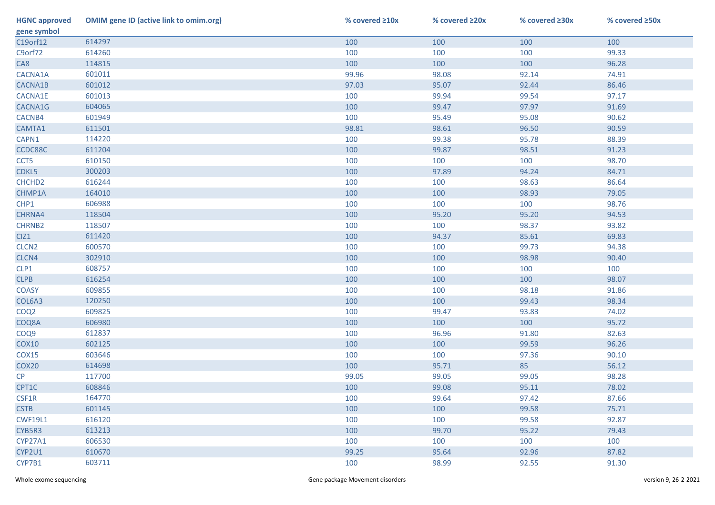| <b>HGNC approved</b> | <b>OMIM gene ID (active link to omim.org)</b> | % covered ≥10x | % covered ≥20x | % covered ≥30x | % covered ≥50x |
|----------------------|-----------------------------------------------|----------------|----------------|----------------|----------------|
| gene symbol          |                                               |                |                |                |                |
| C19orf12             | 614297                                        | 100            | 100            | 100            | 100            |
| C9orf72              | 614260                                        | 100            | 100            | 100            | 99.33          |
| CA8                  | 114815                                        | 100            | 100            | 100            | 96.28          |
| CACNA1A              | 601011                                        | 99.96          | 98.08          | 92.14          | 74.91          |
| CACNA1B              | 601012                                        | 97.03          | 95.07          | 92.44          | 86.46          |
| CACNA1E              | 601013                                        | 100            | 99.94          | 99.54          | 97.17          |
| CACNA1G              | 604065                                        | 100            | 99.47          | 97.97          | 91.69          |
| CACNB4               | 601949                                        | 100            | 95.49          | 95.08          | 90.62          |
| CAMTA1               | 611501                                        | 98.81          | 98.61          | 96.50          | 90.59          |
| CAPN1                | 114220                                        | 100            | 99.38          | 95.78          | 88.39          |
| CCDC88C              | 611204                                        | 100            | 99.87          | 98.51          | 91.23          |
| CCT <sub>5</sub>     | 610150                                        | 100            | 100            | 100            | 98.70          |
| CDKL5                | 300203                                        | 100            | 97.89          | 94.24          | 84.71          |
| CHCHD <sub>2</sub>   | 616244                                        | 100            | 100            | 98.63          | 86.64          |
| CHMP1A               | 164010                                        | 100            | 100            | 98.93          | 79.05          |
| CHP1                 | 606988                                        | 100            | 100            | 100            | 98.76          |
| CHRNA4               | 118504                                        | 100            | 95.20          | 95.20          | 94.53          |
| CHRNB2               | 118507                                        | 100            | 100            | 98.37          | 93.82          |
| CIZ1                 | 611420                                        | 100            | 94.37          | 85.61          | 69.83          |
| CLCN <sub>2</sub>    | 600570                                        | 100            | 100            | 99.73          | 94.38          |
| CLCN4                | 302910                                        | 100            | 100            | 98.98          | 90.40          |
| CLP1                 | 608757                                        | 100            | 100            | 100            | 100            |
| <b>CLPB</b>          | 616254                                        | 100            | 100            | 100            | 98.07          |
| <b>COASY</b>         | 609855                                        | 100            | 100            | 98.18          | 91.86          |
| COL6A3               | 120250                                        | 100            | 100            | 99.43          | 98.34          |
| COQ <sub>2</sub>     | 609825                                        | 100            | 99.47          | 93.83          | 74.02          |
| COQ8A                | 606980                                        | 100            | 100            | 100            | 95.72          |
| COQ9                 | 612837                                        | 100            | 96.96          | 91.80          | 82.63          |
| <b>COX10</b>         | 602125                                        | 100            | 100            | 99.59          | 96.26          |
| <b>COX15</b>         | 603646                                        | 100            | 100            | 97.36          | 90.10          |
| COX20                | 614698                                        | 100            | 95.71          | 85             | 56.12          |
| CP                   | 117700                                        | 99.05          | 99.05          | 99.05          | 98.28          |
| CPT1C                | 608846                                        | 100            | 99.08          | 95.11          | 78.02          |
| CSF1R                | 164770                                        | 100            | 99.64          | 97.42          | 87.66          |
| <b>CSTB</b>          | 601145                                        | 100            | 100            | 99.58          | 75.71          |
| <b>CWF19L1</b>       | 616120                                        | 100            | 100            | 99.58          | 92.87          |
| CYB5R3               | 613213                                        | 100            | 99.70          | 95.22          | 79.43          |
| CYP27A1              | 606530                                        | 100            | 100            | 100            | 100            |
| CYP2U1               | 610670                                        | 99.25          | 95.64          | 92.96          | 87.82          |
| CYP7B1               | 603711                                        | 100            | 98.99          | 92.55          | 91.30          |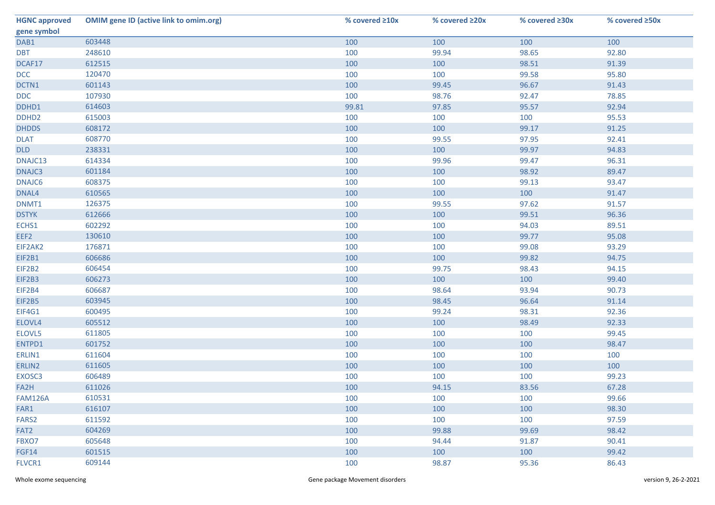| <b>HGNC approved</b> | <b>OMIM gene ID (active link to omim.org)</b> | % covered ≥10x | % covered ≥20x | % covered ≥30x | % covered ≥50x |
|----------------------|-----------------------------------------------|----------------|----------------|----------------|----------------|
| gene symbol          |                                               |                |                |                |                |
| DAB1                 | 603448                                        | 100            | 100            | 100            | 100            |
| <b>DBT</b>           | 248610                                        | 100            | 99.94          | 98.65          | 92.80          |
| DCAF17               | 612515                                        | 100            | 100            | 98.51          | 91.39          |
| <b>DCC</b>           | 120470                                        | 100            | 100            | 99.58          | 95.80          |
| DCTN1                | 601143                                        | 100            | 99.45          | 96.67          | 91.43          |
| <b>DDC</b>           | 107930                                        | 100            | 98.76          | 92.47          | 78.85          |
| DDHD1                | 614603                                        | 99.81          | 97.85          | 95.57          | 92.94          |
| DDHD <sub>2</sub>    | 615003                                        | 100            | 100            | 100            | 95.53          |
| <b>DHDDS</b>         | 608172                                        | 100            | 100            | 99.17          | 91.25          |
| <b>DLAT</b>          | 608770                                        | 100            | 99.55          | 97.95          | 92.41          |
| <b>DLD</b>           | 238331                                        | 100            | 100            | 99.97          | 94.83          |
| DNAJC13              | 614334                                        | 100            | 99.96          | 99.47          | 96.31          |
| DNAJC3               | 601184                                        | 100            | 100            | 98.92          | 89.47          |
| DNAJC6               | 608375                                        | 100            | 100            | 99.13          | 93.47          |
| DNAL4                | 610565                                        | 100            | 100            | 100            | 91.47          |
| DNMT1                | 126375                                        | 100            | 99.55          | 97.62          | 91.57          |
| <b>DSTYK</b>         | 612666                                        | 100            | 100            | 99.51          | 96.36          |
| ECHS1                | 602292                                        | 100            | 100            | 94.03          | 89.51          |
| EEF2                 | 130610                                        | 100            | 100            | 99.77          | 95.08          |
| EIF2AK2              | 176871                                        | 100            | 100            | 99.08          | 93.29          |
| EIF2B1               | 606686                                        | 100            | 100            | 99.82          | 94.75          |
| EIF2B2               | 606454                                        | 100            | 99.75          | 98.43          | 94.15          |
| EIF2B3               | 606273                                        | 100            | 100            | 100            | 99.40          |
| EIF2B4               | 606687                                        | 100            | 98.64          | 93.94          | 90.73          |
| EIF2B5               | 603945                                        | 100            | 98.45          | 96.64          | 91.14          |
| EIF4G1               | 600495                                        | 100            | 99.24          | 98.31          | 92.36          |
| ELOVL4               | 605512                                        | 100            | 100            | 98.49          | 92.33          |
| ELOVL5               | 611805                                        | 100            | 100            | 100            | 99.45          |
| ENTPD1               | 601752                                        | 100            | 100            | 100            | 98.47          |
| ERLIN1               | 611604                                        | 100            | 100            | 100            | 100            |
| ERLIN2               | 611605                                        | 100            | 100            | 100            | 100            |
| EXOSC3               | 606489                                        | 100            | 100            | 100            | 99.23          |
| FA2H                 | 611026                                        | 100            | 94.15          | 83.56          | 67.28          |
| <b>FAM126A</b>       | 610531                                        | 100            | 100            | 100            | 99.66          |
| FAR1                 | 616107                                        | 100            | 100            | 100            | 98.30          |
| FARS2                | 611592                                        | 100            | 100            | 100            | 97.59          |
| FAT2                 | 604269                                        | 100            | 99.88          | 99.69          | 98.42          |
| FBXO7                | 605648                                        | 100            | 94.44          | 91.87          | 90.41          |
| <b>FGF14</b>         | 601515                                        | 100            | 100            | 100            | 99.42          |
| FLVCR1               | 609144                                        | 100            | 98.87          | 95.36          | 86.43          |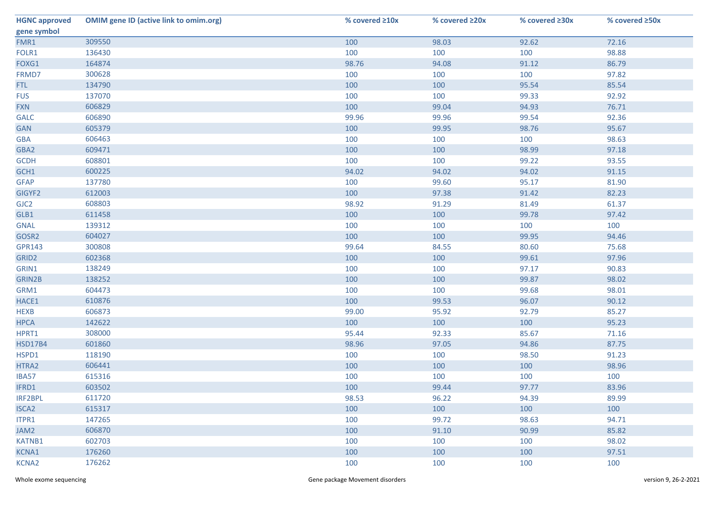| <b>HGNC approved</b> | <b>OMIM gene ID (active link to omim.org)</b> | % covered ≥10x | % covered ≥20x | % covered ≥30x | % covered ≥50x |
|----------------------|-----------------------------------------------|----------------|----------------|----------------|----------------|
| gene symbol          |                                               |                |                |                |                |
| FMR1                 | 309550                                        | 100            | 98.03          | 92.62          | 72.16          |
| FOLR1                | 136430                                        | 100            | 100            | 100            | 98.88          |
| FOXG1                | 164874                                        | 98.76          | 94.08          | 91.12          | 86.79          |
| FRMD7                | 300628                                        | 100            | 100            | 100            | 97.82          |
| FTL                  | 134790                                        | 100            | 100            | 95.54          | 85.54          |
| <b>FUS</b>           | 137070                                        | 100            | 100            | 99.33          | 92.92          |
| <b>FXN</b>           | 606829                                        | 100            | 99.04          | 94.93          | 76.71          |
| <b>GALC</b>          | 606890                                        | 99.96          | 99.96          | 99.54          | 92.36          |
| <b>GAN</b>           | 605379                                        | 100            | 99.95          | 98.76          | 95.67          |
| <b>GBA</b>           | 606463                                        | 100            | 100            | 100            | 98.63          |
| GBA2                 | 609471                                        | 100            | 100            | 98.99          | 97.18          |
| <b>GCDH</b>          | 608801                                        | 100            | 100            | 99.22          | 93.55          |
| GCH1                 | 600225                                        | 94.02          | 94.02          | 94.02          | 91.15          |
| <b>GFAP</b>          | 137780                                        | 100            | 99.60          | 95.17          | 81.90          |
| GIGYF2               | 612003                                        | 100            | 97.38          | 91.42          | 82.23          |
| GJC <sub>2</sub>     | 608803                                        | 98.92          | 91.29          | 81.49          | 61.37          |
| GLB1                 | 611458                                        | 100            | 100            | 99.78          | 97.42          |
| <b>GNAL</b>          | 139312                                        | 100            | 100            | 100            | 100            |
| GOSR2                | 604027                                        | 100            | 100            | 99.95          | 94.46          |
| <b>GPR143</b>        | 300808                                        | 99.64          | 84.55          | 80.60          | 75.68          |
| GRID <sub>2</sub>    | 602368                                        | 100            | 100            | 99.61          | 97.96          |
| GRIN1                | 138249                                        | 100            | 100            | 97.17          | 90.83          |
| GRIN2B               | 138252                                        | 100            | 100            | 99.87          | 98.02          |
| GRM1                 | 604473                                        | 100            | 100            | 99.68          | 98.01          |
| HACE1                | 610876                                        | 100            | 99.53          | 96.07          | 90.12          |
| <b>HEXB</b>          | 606873                                        | 99.00          | 95.92          | 92.79          | 85.27          |
| <b>HPCA</b>          | 142622                                        | 100            | 100            | 100            | 95.23          |
| HPRT1                | 308000                                        | 95.44          | 92.33          | 85.67          | 71.16          |
| <b>HSD17B4</b>       | 601860                                        | 98.96          | 97.05          | 94.86          | 87.75          |
| HSPD1                | 118190                                        | 100            | 100            | 98.50          | 91.23          |
| HTRA2                | 606441                                        | 100            | 100            | 100            | 98.96          |
| IBA57                | 615316                                        | 100            | 100            | 100            | 100            |
| IFRD1                | 603502                                        | 100            | 99.44          | 97.77          | 83.96          |
| IRF2BPL              | 611720                                        | 98.53          | 96.22          | 94.39          | 89.99          |
| <b>ISCA2</b>         | 615317                                        | 100            | 100            | 100            | 100            |
| ITPR1                | 147265                                        | 100            | 99.72          | 98.63          | 94.71          |
| JAM2                 | 606870                                        | 100            | 91.10          | 90.99          | 85.82          |
| <b>KATNB1</b>        | 602703                                        | 100            | 100            | 100            | 98.02          |
| KCNA1                | 176260                                        | 100            | 100            | 100            | 97.51          |
| <b>KCNA2</b>         | 176262                                        | 100            | 100            | 100            | 100            |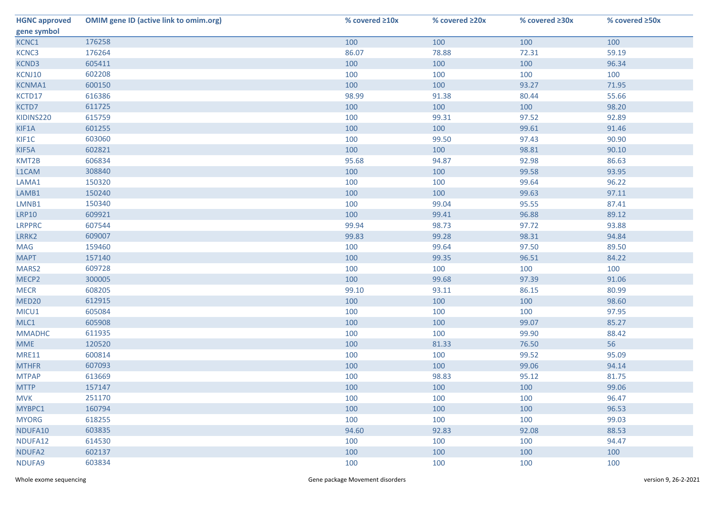| <b>HGNC approved</b> | <b>OMIM gene ID (active link to omim.org)</b> | % covered ≥10x | % covered ≥20x | % covered ≥30x | % covered ≥50x |
|----------------------|-----------------------------------------------|----------------|----------------|----------------|----------------|
| gene symbol          |                                               |                |                |                |                |
| KCNC1                | 176258                                        | 100            | 100            | 100            | 100            |
| KCNC3                | 176264                                        | 86.07          | 78.88          | 72.31          | 59.19          |
| KCND3                | 605411                                        | 100            | 100            | 100            | 96.34          |
| KCNJ10               | 602208                                        | 100            | 100            | 100            | 100            |
| <b>KCNMA1</b>        | 600150                                        | 100            | 100            | 93.27          | 71.95          |
| KCTD17               | 616386                                        | 98.99          | 91.38          | 80.44          | 55.66          |
| KCTD7                | 611725                                        | 100            | 100            | 100            | 98.20          |
| KIDINS220            | 615759                                        | 100            | 99.31          | 97.52          | 92.89          |
| KIF1A                | 601255                                        | 100            | 100            | 99.61          | 91.46          |
| KIF1C                | 603060                                        | 100            | 99.50          | 97.43          | 90.90          |
| KIF5A                | 602821                                        | 100            | 100            | 98.81          | 90.10          |
| KMT2B                | 606834                                        | 95.68          | 94.87          | 92.98          | 86.63          |
| L1CAM                | 308840                                        | 100            | 100            | 99.58          | 93.95          |
| LAMA1                | 150320                                        | 100            | 100            | 99.64          | 96.22          |
| LAMB1                | 150240                                        | 100            | 100            | 99.63          | 97.11          |
| LMNB1                | 150340                                        | 100            | 99.04          | 95.55          | 87.41          |
| <b>LRP10</b>         | 609921                                        | 100            | 99.41          | 96.88          | 89.12          |
| <b>LRPPRC</b>        | 607544                                        | 99.94          | 98.73          | 97.72          | 93.88          |
| LRRK2                | 609007                                        | 99.83          | 99.28          | 98.31          | 94.84          |
| <b>MAG</b>           | 159460                                        | 100            | 99.64          | 97.50          | 89.50          |
| <b>MAPT</b>          | 157140                                        | 100            | 99.35          | 96.51          | 84.22          |
| MARS2                | 609728                                        | 100            | 100            | 100            | 100            |
| MECP2                | 300005                                        | 100            | 99.68          | 97.39          | 91.06          |
| <b>MECR</b>          | 608205                                        | 99.10          | 93.11          | 86.15          | 80.99          |
| MED <sub>20</sub>    | 612915                                        | 100            | 100            | 100            | 98.60          |
| MICU1                | 605084                                        | 100            | 100            | 100            | 97.95          |
| MLC1                 | 605908                                        | 100            | 100            | 99.07          | 85.27          |
| <b>MMADHC</b>        | 611935                                        | 100            | 100            | 99.90          | 88.42          |
| <b>MME</b>           | 120520                                        | 100            | 81.33          | 76.50          | 56             |
| <b>MRE11</b>         | 600814                                        | 100            | 100            | 99.52          | 95.09          |
| <b>MTHFR</b>         | 607093                                        | 100            | 100            | 99.06          | 94.14          |
| <b>MTPAP</b>         | 613669                                        | 100            | 98.83          | 95.12          | 81.75          |
| <b>MTTP</b>          | 157147                                        | 100            | 100            | 100            | 99.06          |
| <b>MVK</b>           | 251170                                        | 100            | 100            | 100            | 96.47          |
| MYBPC1               | 160794                                        | 100            | 100            | 100            | 96.53          |
| <b>MYORG</b>         | 618255                                        | 100            | 100            | 100            | 99.03          |
| NDUFA10              | 603835                                        | 94.60          | 92.83          | 92.08          | 88.53          |
| NDUFA12              | 614530                                        | 100            | 100            | 100            | 94.47          |
| NDUFA2               | 602137                                        | 100            | 100            | 100            | 100            |
| NDUFA9               | 603834                                        | 100            | 100            | 100            | 100            |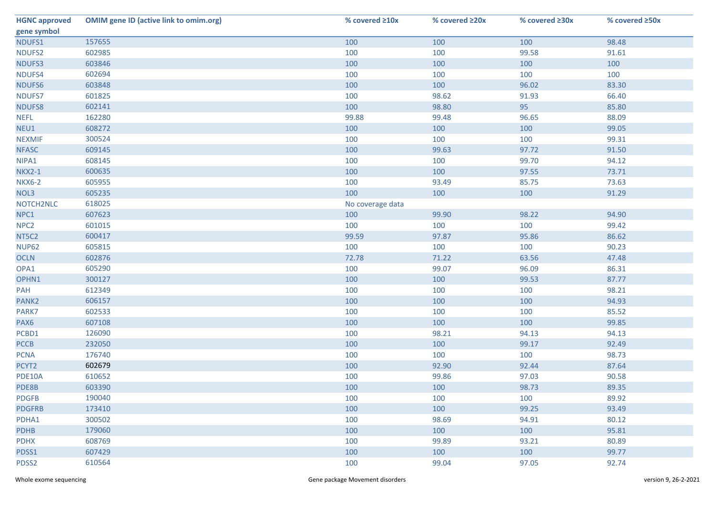| <b>HGNC approved</b> | <b>OMIM gene ID (active link to omim.org)</b> | % covered ≥10x   | % covered ≥20x | % covered ≥30x | % covered ≥50x |
|----------------------|-----------------------------------------------|------------------|----------------|----------------|----------------|
| gene symbol          |                                               |                  |                |                |                |
| NDUFS1               | 157655                                        | 100              | 100            | 100            | 98.48          |
| NDUFS2               | 602985                                        | 100              | 100            | 99.58          | 91.61          |
| NDUFS3               | 603846                                        | 100              | 100            | 100            | 100            |
| NDUFS4               | 602694                                        | 100              | 100            | 100            | 100            |
| NDUFS6               | 603848                                        | 100              | 100            | 96.02          | 83.30          |
| NDUFS7               | 601825                                        | 100              | 98.62          | 91.93          | 66.40          |
| NDUFS8               | 602141                                        | 100              | 98.80          | 95             | 85.80          |
| <b>NEFL</b>          | 162280                                        | 99.88            | 99.48          | 96.65          | 88.09          |
| NEU1                 | 608272                                        | 100              | 100            | 100            | 99.05          |
| <b>NEXMIF</b>        | 300524                                        | 100              | 100            | 100            | 99.31          |
| <b>NFASC</b>         | 609145                                        | 100              | 99.63          | 97.72          | 91.50          |
| NIPA1                | 608145                                        | 100              | 100            | 99.70          | 94.12          |
| <b>NKX2-1</b>        | 600635                                        | 100              | 100            | 97.55          | 73.71          |
| <b>NKX6-2</b>        | 605955                                        | 100              | 93.49          | 85.75          | 73.63          |
| NOL3                 | 605235                                        | 100              | 100            | 100            | 91.29          |
| NOTCH2NLC            | 618025                                        | No coverage data |                |                |                |
| NPC1                 | 607623                                        | 100              | 99.90          | 98.22          | 94.90          |
| NPC <sub>2</sub>     | 601015                                        | 100              | 100            | 100            | 99.42          |
| NT5C2                | 600417                                        | 99.59            | 97.87          | 95.86          | 86.62          |
| <b>NUP62</b>         | 605815                                        | 100              | 100            | 100            | 90.23          |
| <b>OCLN</b>          | 602876                                        | 72.78            | 71.22          | 63.56          | 47.48          |
| OPA1                 | 605290                                        | 100              | 99.07          | 96.09          | 86.31          |
| OPHN1                | 300127                                        | 100              | 100            | 99.53          | 87.77          |
| PAH                  | 612349                                        | 100              | 100            | 100            | 98.21          |
| PANK2                | 606157                                        | 100              | 100            | 100            | 94.93          |
| PARK7                | 602533                                        | 100              | 100            | 100            | 85.52          |
| PAX6                 | 607108                                        | 100              | 100            | 100            | 99.85          |
| PCBD1                | 126090                                        | 100              | 98.21          | 94.13          | 94.13          |
| <b>PCCB</b>          | 232050                                        | 100              | 100            | 99.17          | 92.49          |
| <b>PCNA</b>          | 176740                                        | 100              | 100            | 100            | 98.73          |
| PCYT2                | 602679                                        | 100              | 92.90          | 92.44          | 87.64          |
| PDE10A               | 610652                                        | 100              | 99.86          | 97.03          | 90.58          |
| PDE8B                | 603390                                        | 100              | 100            | 98.73          | 89.35          |
| <b>PDGFB</b>         | 190040                                        | 100              | 100            | 100            | 89.92          |
| <b>PDGFRB</b>        | 173410                                        | 100              | 100            | 99.25          | 93.49          |
| PDHA1                | 300502                                        | 100              | 98.69          | 94.91          | 80.12          |
| <b>PDHB</b>          | 179060                                        | 100              | 100            | 100            | 95.81          |
| <b>PDHX</b>          | 608769                                        | 100              | 99.89          | 93.21          | 80.89          |
| PDSS1                | 607429                                        | 100              | 100            | 100            | 99.77          |
| PDSS2                | 610564                                        | 100              | 99.04          | 97.05          | 92.74          |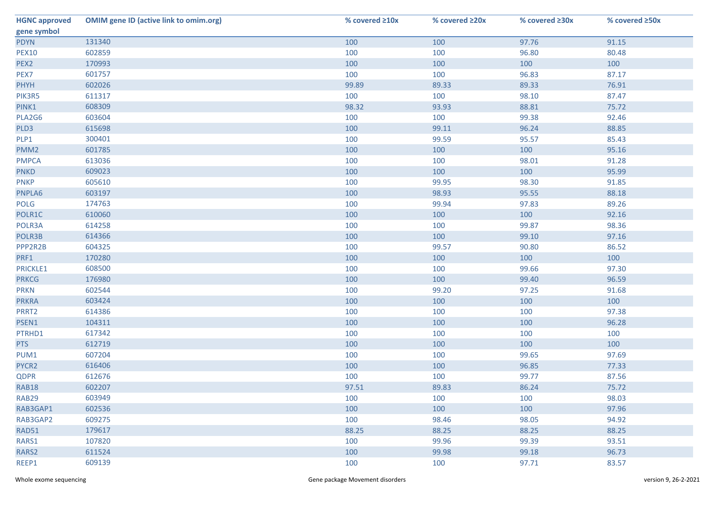| <b>HGNC approved</b> | <b>OMIM gene ID (active link to omim.org)</b> | % covered ≥10x | % covered ≥20x | % covered ≥30x | % covered ≥50x |
|----------------------|-----------------------------------------------|----------------|----------------|----------------|----------------|
| gene symbol          |                                               |                |                |                |                |
| <b>PDYN</b>          | 131340                                        | 100            | 100            | 97.76          | 91.15          |
| <b>PEX10</b>         | 602859                                        | 100            | 100            | 96.80          | 80.48          |
| PEX2                 | 170993                                        | 100            | 100            | 100            | 100            |
| PEX7                 | 601757                                        | 100            | 100            | 96.83          | 87.17          |
| PHYH                 | 602026                                        | 99.89          | 89.33          | 89.33          | 76.91          |
| PIK3R5               | 611317                                        | 100            | 100            | 98.10          | 87.47          |
| PINK1                | 608309                                        | 98.32          | 93.93          | 88.81          | 75.72          |
| PLA2G6               | 603604                                        | 100            | 100            | 99.38          | 92.46          |
| PLD3                 | 615698                                        | 100            | 99.11          | 96.24          | 88.85          |
| PLP1                 | 300401                                        | 100            | 99.59          | 95.57          | 85.43          |
| PMM <sub>2</sub>     | 601785                                        | 100            | 100            | 100            | 95.16          |
| <b>PMPCA</b>         | 613036                                        | 100            | 100            | 98.01          | 91.28          |
| <b>PNKD</b>          | 609023                                        | 100            | 100            | 100            | 95.99          |
| <b>PNKP</b>          | 605610                                        | 100            | 99.95          | 98.30          | 91.85          |
| PNPLA6               | 603197                                        | 100            | 98.93          | 95.55          | 88.18          |
| POLG                 | 174763                                        | 100            | 99.94          | 97.83          | 89.26          |
| POLR1C               | 610060                                        | 100            | 100            | 100            | 92.16          |
| POLR3A               | 614258                                        | 100            | 100            | 99.87          | 98.36          |
| POLR3B               | 614366                                        | 100            | 100            | 99.10          | 97.16          |
| PPP2R2B              | 604325                                        | 100            | 99.57          | 90.80          | 86.52          |
| PRF1                 | 170280                                        | 100            | 100            | 100            | 100            |
| PRICKLE1             | 608500                                        | 100            | 100            | 99.66          | 97.30          |
| <b>PRKCG</b>         | 176980                                        | 100            | 100            | 99.40          | 96.59          |
| <b>PRKN</b>          | 602544                                        | 100            | 99.20          | 97.25          | 91.68          |
| <b>PRKRA</b>         | 603424                                        | 100            | 100            | 100            | 100            |
| PRRT2                | 614386                                        | 100            | 100            | 100            | 97.38          |
| PSEN1                | 104311                                        | 100            | 100            | 100            | 96.28          |
| PTRHD1               | 617342                                        | 100            | 100            | 100            | 100            |
| <b>PTS</b>           | 612719                                        | 100            | 100            | 100            | 100            |
| PUM1                 | 607204                                        | 100            | 100            | 99.65          | 97.69          |
| PYCR2                | 616406                                        | 100            | 100            | 96.85          | 77.33          |
| <b>QDPR</b>          | 612676                                        | 100            | 100            | 99.77          | 87.56          |
| <b>RAB18</b>         | 602207                                        | 97.51          | 89.83          | 86.24          | 75.72          |
| RAB29                | 603949                                        | 100            | 100            | 100            | 98.03          |
| RAB3GAP1             | 602536                                        | 100            | 100            | 100            | 97.96          |
| RAB3GAP2             | 609275                                        | 100            | 98.46          | 98.05          | 94.92          |
| RAD51                | 179617                                        | 88.25          | 88.25          | 88.25          | 88.25          |
| RARS1                | 107820                                        | 100            | 99.96          | 99.39          | 93.51          |
| RARS2                | 611524                                        | 100            | 99.98          | 99.18          | 96.73          |
| REEP1                | 609139                                        | 100            | 100            | 97.71          | 83.57          |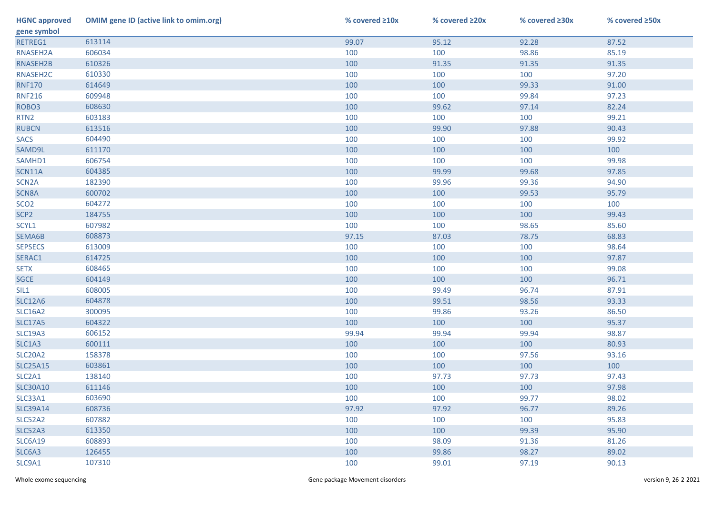| <b>HGNC approved</b> | <b>OMIM gene ID (active link to omim.org)</b> | % covered ≥10x | % covered ≥20x | % covered ≥30x | % covered ≥50x |
|----------------------|-----------------------------------------------|----------------|----------------|----------------|----------------|
| gene symbol          |                                               |                |                |                |                |
| RETREG1              | 613114                                        | 99.07          | 95.12          | 92.28          | 87.52          |
| RNASEH2A             | 606034                                        | 100            | 100            | 98.86          | 85.19          |
| RNASEH2B             | 610326                                        | 100            | 91.35          | 91.35          | 91.35          |
| RNASEH2C             | 610330                                        | 100            | 100            | 100            | 97.20          |
| <b>RNF170</b>        | 614649                                        | 100            | 100            | 99.33          | 91.00          |
| <b>RNF216</b>        | 609948                                        | 100            | 100            | 99.84          | 97.23          |
| ROBO <sub>3</sub>    | 608630                                        | 100            | 99.62          | 97.14          | 82.24          |
| RTN <sub>2</sub>     | 603183                                        | 100            | 100            | 100            | 99.21          |
| <b>RUBCN</b>         | 613516                                        | 100            | 99.90          | 97.88          | 90.43          |
| <b>SACS</b>          | 604490                                        | 100            | 100            | 100            | 99.92          |
| SAMD9L               | 611170                                        | 100            | 100            | 100            | 100            |
| SAMHD1               | 606754                                        | 100            | 100            | 100            | 99.98          |
| SCN11A               | 604385                                        | 100            | 99.99          | 99.68          | 97.85          |
| SCN <sub>2</sub> A   | 182390                                        | 100            | 99.96          | 99.36          | 94.90          |
| SCN8A                | 600702                                        | 100            | 100            | 99.53          | 95.79          |
| SCO <sub>2</sub>     | 604272                                        | 100            | 100            | 100            | 100            |
| SCP <sub>2</sub>     | 184755                                        | 100            | 100            | 100            | 99.43          |
| SCYL1                | 607982                                        | 100            | 100            | 98.65          | 85.60          |
| SEMA6B               | 608873                                        | 97.15          | 87.03          | 78.75          | 68.83          |
| <b>SEPSECS</b>       | 613009                                        | 100            | 100            | 100            | 98.64          |
| SERAC1               | 614725                                        | 100            | 100            | 100            | 97.87          |
| <b>SETX</b>          | 608465                                        | 100            | 100            | 100            | 99.08          |
| <b>SGCE</b>          | 604149                                        | 100            | 100            | 100            | 96.71          |
| SIL1                 | 608005                                        | 100            | 99.49          | 96.74          | 87.91          |
| <b>SLC12A6</b>       | 604878                                        | 100            | 99.51          | 98.56          | 93.33          |
| <b>SLC16A2</b>       | 300095                                        | 100            | 99.86          | 93.26          | 86.50          |
| <b>SLC17A5</b>       | 604322                                        | 100            | 100            | 100            | 95.37          |
| <b>SLC19A3</b>       | 606152                                        | 99.94          | 99.94          | 99.94          | 98.87          |
| SLC1A3               | 600111                                        | 100            | 100            | 100            | 80.93          |
| SLC20A2              | 158378                                        | 100            | 100            | 97.56          | 93.16          |
| <b>SLC25A15</b>      | 603861                                        | 100            | 100            | 100            | 100            |
| SLC2A1               | 138140                                        | 100            | 97.73          | 97.73          | 97.43          |
| <b>SLC30A10</b>      | 611146                                        | 100            | 100            | 100            | 97.98          |
| SLC33A1              | 603690                                        | 100            | 100            | 99.77          | 98.02          |
| <b>SLC39A14</b>      | 608736                                        | 97.92          | 97.92          | 96.77          | 89.26          |
| <b>SLC52A2</b>       | 607882                                        | 100            | 100            | 100            | 95.83          |
| <b>SLC52A3</b>       | 613350                                        | 100            | 100            | 99.39          | 95.90          |
| <b>SLC6A19</b>       | 608893                                        | 100            | 98.09          | 91.36          | 81.26          |
| SLC6A3               | 126455                                        | 100            | 99.86          | 98.27          | 89.02          |
| SLC9A1               | 107310                                        | 100            | 99.01          | 97.19          | 90.13          |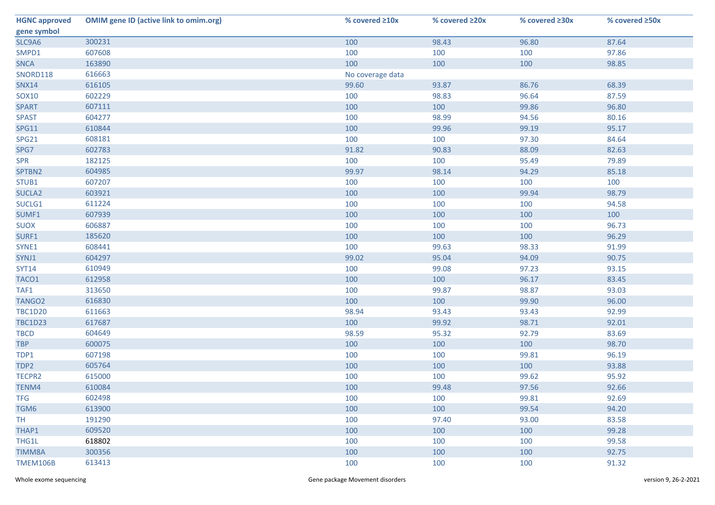| <b>HGNC approved</b> | <b>OMIM gene ID (active link to omim.org)</b> | % covered ≥10x   | % covered ≥20x | % covered ≥30x | % covered ≥50x |
|----------------------|-----------------------------------------------|------------------|----------------|----------------|----------------|
| gene symbol          |                                               |                  |                |                |                |
| SLC9A6               | 300231                                        | 100              | 98.43          | 96.80          | 87.64          |
| SMPD1                | 607608                                        | 100              | 100            | 100            | 97.86          |
| <b>SNCA</b>          | 163890                                        | 100              | 100            | 100            | 98.85          |
| SNORD118             | 616663                                        | No coverage data |                |                |                |
| <b>SNX14</b>         | 616105                                        | 99.60            | 93.87          | 86.76          | 68.39          |
| SOX10                | 602229                                        | 100              | 98.83          | 96.64          | 87.59          |
| <b>SPART</b>         | 607111                                        | 100              | 100            | 99.86          | 96.80          |
| <b>SPAST</b>         | 604277                                        | 100              | 98.99          | 94.56          | 80.16          |
| <b>SPG11</b>         | 610844                                        | 100              | 99.96          | 99.19          | 95.17          |
| SPG21                | 608181                                        | 100              | 100            | 97.30          | 84.64          |
| SPG7                 | 602783                                        | 91.82            | 90.83          | 88.09          | 82.63          |
| <b>SPR</b>           | 182125                                        | 100              | 100            | 95.49          | 79.89          |
| SPTBN2               | 604985                                        | 99.97            | 98.14          | 94.29          | 85.18          |
| STUB1                | 607207                                        | 100              | 100            | 100            | 100            |
| SUCLA <sub>2</sub>   | 603921                                        | 100              | 100            | 99.94          | 98.79          |
| SUCLG1               | 611224                                        | 100              | 100            | 100            | 94.58          |
| SUMF1                | 607939                                        | 100              | 100            | 100            | 100            |
| <b>SUOX</b>          | 606887                                        | 100              | 100            | 100            | 96.73          |
| SURF1                | 185620                                        | 100              | 100            | 100            | 96.29          |
| SYNE1                | 608441                                        | 100              | 99.63          | 98.33          | 91.99          |
| SYNJ1                | 604297                                        | 99.02            | 95.04          | 94.09          | 90.75          |
| <b>SYT14</b>         | 610949                                        | 100              | 99.08          | 97.23          | 93.15          |
| TACO1                | 612958                                        | 100              | 100            | 96.17          | 83.45          |
| TAF1                 | 313650                                        | 100              | 99.87          | 98.87          | 93.03          |
| TANGO <sub>2</sub>   | 616830                                        | 100              | 100            | 99.90          | 96.00          |
| <b>TBC1D20</b>       | 611663                                        | 98.94            | 93.43          | 93.43          | 92.99          |
| <b>TBC1D23</b>       | 617687                                        | 100              | 99.92          | 98.71          | 92.01          |
| <b>TBCD</b>          | 604649                                        | 98.59            | 95.32          | 92.79          | 83.69          |
| <b>TBP</b>           | 600075                                        | 100              | 100            | 100            | 98.70          |
| TDP1                 | 607198                                        | 100              | 100            | 99.81          | 96.19          |
| TDP <sub>2</sub>     | 605764                                        | 100              | 100            | 100            | 93.88          |
| TECPR2               | 615000                                        | 100              | 100            | 99.62          | 95.92          |
| TENM4                | 610084                                        | 100              | 99.48          | 97.56          | 92.66          |
| <b>TFG</b>           | 602498                                        | 100              | 100            | 99.81          | 92.69          |
| TGM6                 | 613900                                        | 100              | 100            | 99.54          | 94.20          |
| <b>TH</b>            | 191290                                        | 100              | 97.40          | 93.00          | 83.58          |
| THAP1                | 609520                                        | 100              | 100            | 100            | 99.28          |
| THG1L                | 618802                                        | 100              | 100            | 100            | 99.58          |
| <b>TIMM8A</b>        | 300356                                        | 100              | 100            | 100            | 92.75          |
| TMEM106B             | 613413                                        | 100              | 100            | 100            | 91.32          |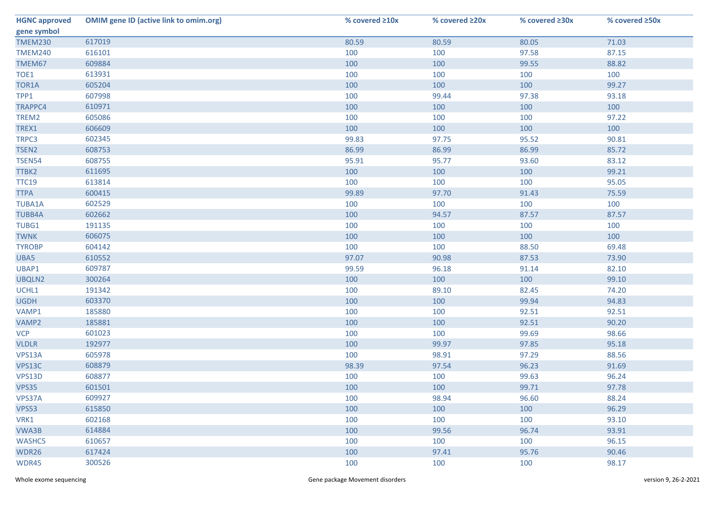| <b>HGNC approved</b> | <b>OMIM gene ID (active link to omim.org)</b> | % covered ≥10x | % covered ≥20x | % covered ≥30x | % covered ≥50x |
|----------------------|-----------------------------------------------|----------------|----------------|----------------|----------------|
| gene symbol          |                                               |                |                |                |                |
| <b>TMEM230</b>       | 617019                                        | 80.59          | 80.59          | 80.05          | 71.03          |
| <b>TMEM240</b>       | 616101                                        | 100            | 100            | 97.58          | 87.15          |
| TMEM67               | 609884                                        | 100            | 100            | 99.55          | 88.82          |
| TOE1                 | 613931                                        | 100            | 100            | 100            | 100            |
| TOR1A                | 605204                                        | 100            | 100            | 100            | 99.27          |
| TPP1                 | 607998                                        | 100            | 99.44          | 97.38          | 93.18          |
| TRAPPC4              | 610971                                        | 100            | 100            | 100            | 100            |
| TREM2                | 605086                                        | 100            | 100            | 100            | 97.22          |
| TREX1                | 606609                                        | 100            | 100            | 100            | 100            |
| TRPC3                | 602345                                        | 99.83          | 97.75          | 95.52          | 90.81          |
| TSEN2                | 608753                                        | 86.99          | 86.99          | 86.99          | 85.72          |
| <b>TSEN54</b>        | 608755                                        | 95.91          | 95.77          | 93.60          | 83.12          |
| TTBK2                | 611695                                        | 100            | 100            | 100            | 99.21          |
| <b>TTC19</b>         | 613814                                        | 100            | 100            | 100            | 95.05          |
| <b>TTPA</b>          | 600415                                        | 99.89          | 97.70          | 91.43          | 75.59          |
| <b>TUBA1A</b>        | 602529                                        | 100            | 100            | 100            | 100            |
| <b>TUBB4A</b>        | 602662                                        | 100            | 94.57          | 87.57          | 87.57          |
| TUBG1                | 191135                                        | 100            | 100            | 100            | 100            |
| <b>TWNK</b>          | 606075                                        | 100            | 100            | 100            | 100            |
| <b>TYROBP</b>        | 604142                                        | 100            | 100            | 88.50          | 69.48          |
| UBA5                 | 610552                                        | 97.07          | 90.98          | 87.53          | 73.90          |
| UBAP1                | 609787                                        | 99.59          | 96.18          | 91.14          | 82.10          |
| UBQLN2               | 300264                                        | 100            | 100            | 100            | 99.10          |
| UCHL1                | 191342                                        | 100            | 89.10          | 82.45          | 74.20          |
| <b>UGDH</b>          | 603370                                        | 100            | 100            | 99.94          | 94.83          |
| VAMP1                | 185880                                        | 100            | 100            | 92.51          | 92.51          |
| VAMP2                | 185881                                        | 100            | 100            | 92.51          | 90.20          |
| <b>VCP</b>           | 601023                                        | 100            | 100            | 99.69          | 98.66          |
| <b>VLDLR</b>         | 192977                                        | 100            | 99.97          | 97.85          | 95.18          |
| VPS13A               | 605978                                        | 100            | 98.91          | 97.29          | 88.56          |
| VPS13C               | 608879                                        | 98.39          | 97.54          | 96.23          | 91.69          |
| VPS13D               | 608877                                        | 100            | 100            | 99.63          | 96.24          |
| VPS35                | 601501                                        | 100            | 100            | 99.71          | 97.78          |
| VPS37A               | 609927                                        | 100            | 98.94          | 96.60          | 88.24          |
| <b>VPS53</b>         | 615850                                        | 100            | 100            | 100            | 96.29          |
| VRK1                 | 602168                                        | 100            | 100            | 100            | 93.10          |
| VWA3B                | 614884                                        | 100            | 99.56          | 96.74          | 93.91          |
| WASHC5               | 610657                                        | 100            | 100            | 100            | 96.15          |
| WDR26                | 617424                                        | 100            | 97.41          | 95.76          | 90.46          |
| WDR45                | 300526                                        | 100            | 100            | 100            | 98.17          |